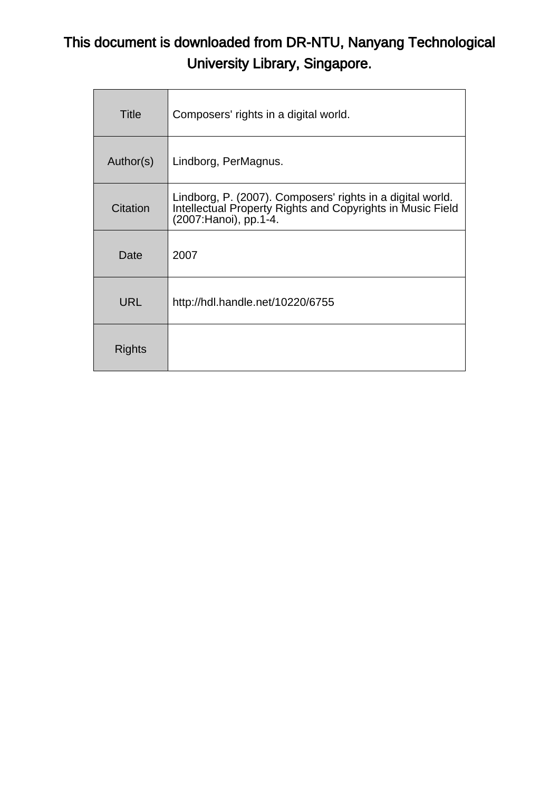# This document is downloaded from DR-NTU, Nanyang Technological University Library, Singapore.

| <b>Title</b>  | Composers' rights in a digital world.                                                                                                               |
|---------------|-----------------------------------------------------------------------------------------------------------------------------------------------------|
| Author(s)     | Lindborg, PerMagnus.                                                                                                                                |
| Citation      | Lindborg, P. (2007). Composers' rights in a digital world.<br>Intellectual Property Rights and Copyrights in Music Field<br>(2007: Hanoi), pp. 1-4. |
| Date          | 2007                                                                                                                                                |
| <b>URL</b>    | http://hdl.handle.net/10220/6755                                                                                                                    |
| <b>Rights</b> |                                                                                                                                                     |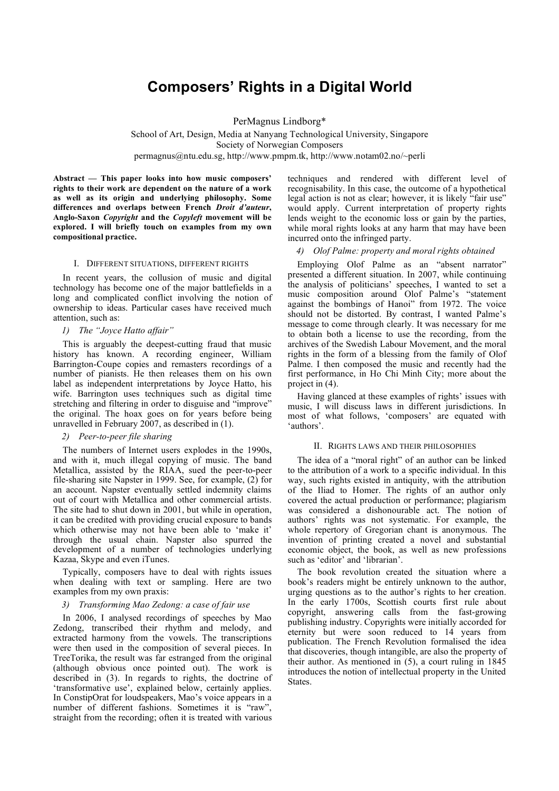# **Composers' Rights in a Digital World**

PerMagnus Lindborg\*

School of Art, Design, Media at Nanyang Technological University, Singapore Society of Norwegian Composers permagnus@ntu.edu.sg, http://www.pmpm.tk, http://www.notam02.no/~perli

**Abstract — This paper looks into how music composers' rights to their work are dependent on the nature of a work as well as its origin and underlying philosophy. Some differences and overlaps between French** *Droit d'auteur***, Anglo-Saxon** *Copyright* **and the** *Copyleft* **movement will be explored. I will briefly touch on examples from my own compositional practice.**

### I. DIFFERENT SITUATIONS, DIFFERENT RIGHTS

In recent years, the collusion of music and digital technology has become one of the major battlefields in a long and complicated conflict involving the notion of ownership to ideas. Particular cases have received much attention, such as:

# *1) The "Joyce Hatto affair"*

This is arguably the deepest-cutting fraud that music history has known. A recording engineer, William Barrington-Coupe copies and remasters recordings of a number of pianists. He then releases them on his own label as independent interpretations by Joyce Hatto, his wife. Barrington uses techniques such as digital time stretching and filtering in order to disguise and "improve" the original. The hoax goes on for years before being unravelled in February 2007, as described in (1).

# *2) Peer-to-peer file sharing*

The numbers of Internet users explodes in the 1990s, and with it, much illegal copying of music. The band Metallica, assisted by the RIAA, sued the peer-to-peer file-sharing site Napster in 1999. See, for example, (2) for an account. Napster eventually settled indemnity claims out of court with Metallica and other commercial artists. The site had to shut down in 2001, but while in operation, it can be credited with providing crucial exposure to bands which otherwise may not have been able to 'make it' through the usual chain. Napster also spurred the development of a number of technologies underlying Kazaa, Skype and even iTunes.

Typically, composers have to deal with rights issues when dealing with text or sampling. Here are two examples from my own praxis:

## *3) Transforming Mao Zedong: a case of fair use*

In 2006, I analysed recordings of speeches by Mao Zedong, transcribed their rhythm and melody, and extracted harmony from the vowels. The transcriptions were then used in the composition of several pieces. In TreeTorika, the result was far estranged from the original (although obvious once pointed out). The work is described in (3). In regards to rights, the doctrine of 'transformative use', explained below, certainly applies. In ConstipOrat for loudspeakers, Mao's voice appears in a number of different fashions. Sometimes it is "raw", straight from the recording; often it is treated with various techniques and rendered with different level of recognisability. In this case, the outcome of a hypothetical legal action is not as clear; however, it is likely "fair use" would apply. Current interpretation of property rights lends weight to the economic loss or gain by the parties, while moral rights looks at any harm that may have been incurred onto the infringed party.

# *4) Olof Palme: property and moral rights obtained*

Employing Olof Palme as an "absent narrator" presented a different situation. In 2007, while continuing the analysis of politicians' speeches, I wanted to set a music composition around Olof Palme's "statement against the bombings of Hanoi" from 1972. The voice should not be distorted. By contrast, I wanted Palme's message to come through clearly. It was necessary for me to obtain both a license to use the recording, from the archives of the Swedish Labour Movement, and the moral rights in the form of a blessing from the family of Olof Palme. I then composed the music and recently had the first performance, in Ho Chi Minh City; more about the project in (4).

Having glanced at these examples of rights' issues with music, I will discuss laws in different jurisdictions. In most of what follows, 'composers' are equated with 'authors'.

#### II. RIGHTS LAWS AND THEIR PHILOSOPHIES

The idea of a "moral right" of an author can be linked to the attribution of a work to a specific individual. In this way, such rights existed in antiquity, with the attribution of the Iliad to Homer. The rights of an author only covered the actual production or performance; plagiarism was considered a dishonourable act. The notion of authors' rights was not systematic. For example, the whole repertory of Gregorian chant is anonymous. The invention of printing created a novel and substantial economic object, the book, as well as new professions such as 'editor' and 'librarian'.

The book revolution created the situation where a book's readers might be entirely unknown to the author, urging questions as to the author's rights to her creation. In the early 1700s, Scottish courts first rule about copyright, answering calls from the fast-growing publishing industry. Copyrights were initially accorded for eternity but were soon reduced to 14 years from publication. The French Revolution formalised the idea that discoveries, though intangible, are also the property of their author. As mentioned in (5), a court ruling in 1845 introduces the notion of intellectual property in the United States.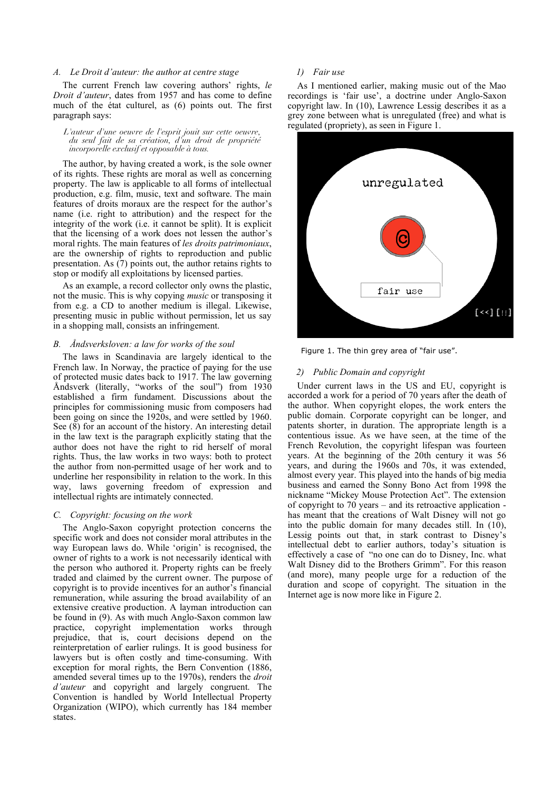#### *A. Le Droit d'auteur: the author at centre stage*

The current French law covering authors' rights, *le Droit d'auteur*, dates from 1957 and has come to define much of the état culturel, as (6) points out. The first paragraph says:

*L'auteur d'une oeuvre de l'esprit jouit sur cette oeuvre, du seul fait de sa création, d'un droit de propriété incorporelle exclusif et opposable à tous.*

The author, by having created a work, is the sole owner of its rights. These rights are moral as well as concerning property. The law is applicable to all forms of intellectual production, e.g. film, music, text and software. The main features of droits moraux are the respect for the author's name (i.e. right to attribution) and the respect for the integrity of the work (i.e. it cannot be split). It is explicit that the licensing of a work does not lessen the author's moral rights. The main features of *les droits patrimoniaux*, are the ownership of rights to reproduction and public presentation. As (7) points out, the author retains rights to stop or modify all exploitations by licensed parties.

As an example, a record collector only owns the plastic, not the music. This is why copying *music* or transposing it from e.g. a CD to another medium is illegal. Likewise, presenting music in public without permission, let us say in a shopping mall, consists an infringement.

# *B. Åndsverksloven: a law for works of the soul*

The laws in Scandinavia are largely identical to the French law. In Norway, the practice of paying for the use of protected music dates back to 1917. The law governing Åndsverk (literally, "works of the soul") from 1930 established a firm fundament. Discussions about the principles for commissioning music from composers had been going on since the 1920s, and were settled by 1960. See (8) for an account of the history. An interesting detail in the law text is the paragraph explicitly stating that the author does not have the right to rid herself of moral rights. Thus, the law works in two ways: both to protect the author from non-permitted usage of her work and to underline her responsibility in relation to the work. In this way, laws governing freedom of expression and intellectual rights are intimately connected.

# *C. Copyright: focusing on the work*

The Anglo-Saxon copyright protection concerns the specific work and does not consider moral attributes in the way European laws do. While 'origin' is recognised, the owner of rights to a work is not necessarily identical with the person who authored it. Property rights can be freely traded and claimed by the current owner. The purpose of copyright is to provide incentives for an author's financial remuneration, while assuring the broad availability of an extensive creative production. A layman introduction can be found in (9). As with much Anglo-Saxon common law practice, copyright implementation works through prejudice, that is, court decisions depend on the reinterpretation of earlier rulings. It is good business for lawyers but is often costly and time-consuming. With exception for moral rights, the Bern Convention (1886, amended several times up to the 1970s), renders the *droit d'auteur* and copyright and largely congruent. The Convention is handled by World Intellectual Property Organization (WIPO), which currently has 184 member states.

#### *1) Fair use*

As I mentioned earlier, making music out of the Mao recordings is 'fair use', a doctrine under Anglo-Saxon copyright law. In (10), Lawrence Lessig describes it as a grey zone between what is unregulated (free) and what is regulated (propriety), as seen in Figure 1.



Figure 1. The thin grey area of "fair use".

### *2) Public Domain and copyright*

Under current laws in the US and EU, copyright is accorded a work for a period of 70 years after the death of the author. When copyright elopes, the work enters the public domain. Corporate copyright can be longer, and patents shorter, in duration. The appropriate length is a contentious issue. As we have seen, at the time of the French Revolution, the copyright lifespan was fourteen years. At the beginning of the 20th century it was 56 years, and during the 1960s and 70s, it was extended, almost every year. This played into the hands of big media business and earned the Sonny Bono Act from 1998 the nickname "Mickey Mouse Protection Act". The extension of copyright to 70 years – and its retroactive application has meant that the creations of Walt Disney will not go into the public domain for many decades still. In (10), Lessig points out that, in stark contrast to Disney's intellectual debt to earlier authors, today's situation is effectively a case of "no one can do to Disney, Inc. what Walt Disney did to the Brothers Grimm". For this reason (and more), many people urge for a reduction of the duration and scope of copyright. The situation in the Internet age is now more like in Figure 2.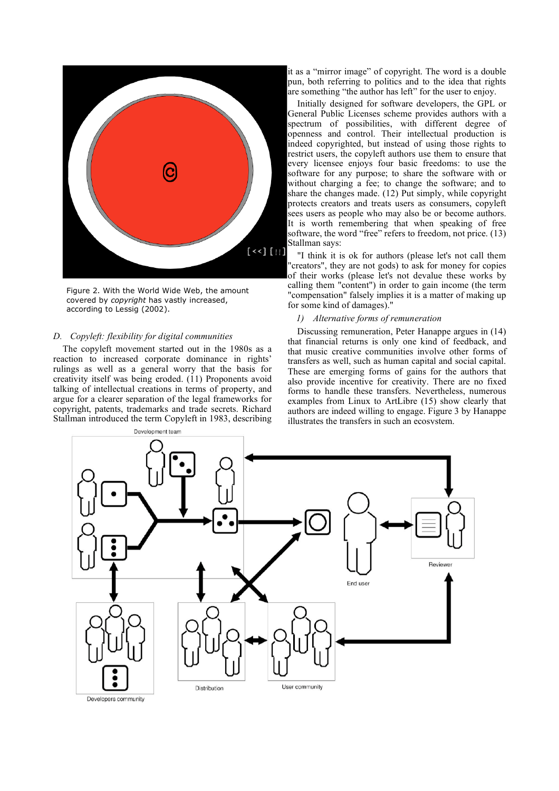

Figure 2. With the World Wide Web, the amount covered by *copyright* has vastly increased, according to Lessig (2002).

# *D. Copyleft: flexibility for digital communities*

The copyleft movement started out in the 1980s as a reaction to increased corporate dominance in rights' rulings as well as a general worry that the basis for creativity itself was being eroded. (11) Proponents avoid talking of intellectual creations in terms of property, and argue for a clearer separation of the legal frameworks for copyright, patents, trademarks and trade secrets. Richard Stallman introduced the term Copyleft in 1983, describing

it as a "mirror image" of copyright. The word is a double pun, both referring to politics and to the idea that rights are something "the author has left" for the user to enjoy.

Initially designed for software developers, the GPL or General Public Licenses scheme provides authors with a spectrum of possibilities, with different degree of openness and control. Their intellectual production is indeed copyrighted, but instead of using those rights to restrict users, the copyleft authors use them to ensure that every licensee enjoys four basic freedoms: to use the software for any purpose; to share the software with or without charging a fee; to change the software; and to share the changes made. (12) Put simply, while copyright protects creators and treats users as consumers, copyleft sees users as people who may also be or become authors. It is worth remembering that when speaking of free software, the word "free" refers to freedom, not price. (13) Stallman says:

"I think it is ok for authors (please let's not call them "creators", they are not gods) to ask for money for copies of their works (please let's not devalue these works by calling them "content") in order to gain income (the term "compensation" falsely implies it is a matter of making up for some kind of damages)."

### *1) Alternative forms of remuneration*

Discussing remuneration, Peter Hanappe argues in (14) that financial returns is only one kind of feedback, and that music creative communities involve other forms of transfers as well, such as human capital and social capital. These are emerging forms of gains for the authors that also provide incentive for creativity. There are no fixed forms to handle these transfers. Nevertheless, numerous examples from Linux to ArtLibre (15) show clearly that authors are indeed willing to engage. Figure 3 by Hanappe illustrates the transfers in such an ecosystem.